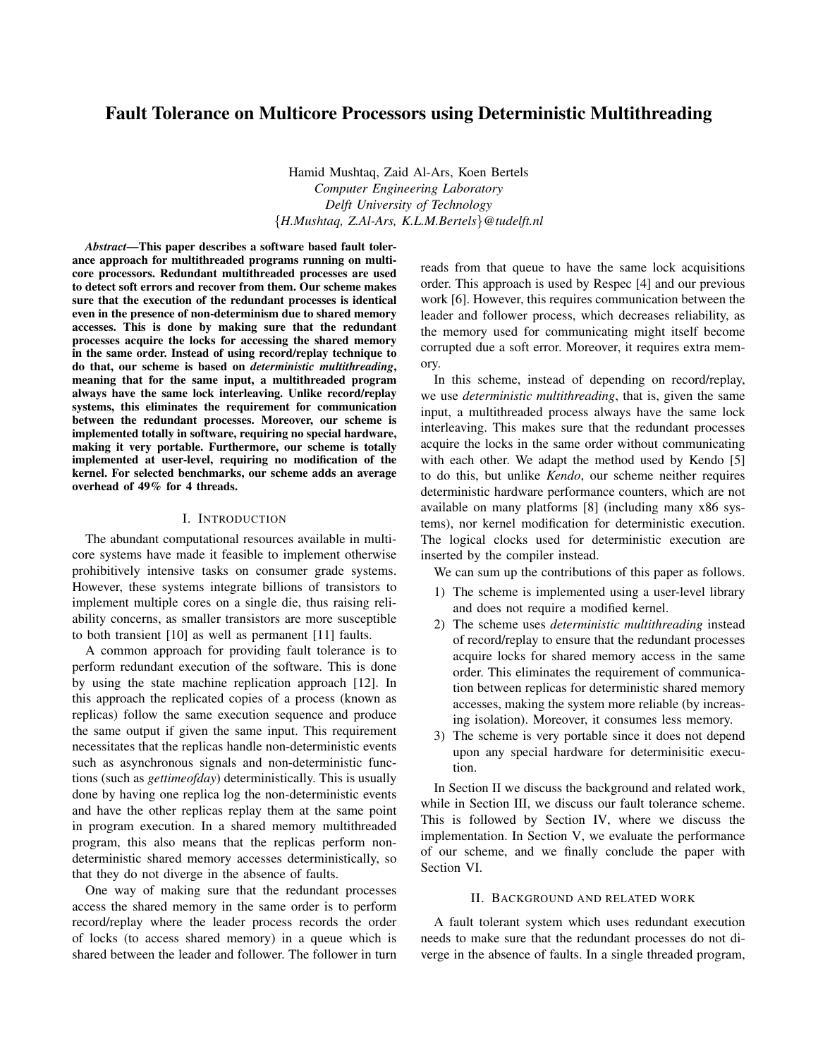# Fault Tolerance on Multicore Processors using Deterministic Multithreading

Hamid Mushtaq, Zaid Al-Ars, Koen Bertels *Computer Engineering Laboratory Delft University of Technology* {*H.Mushtaq, Z.Al-Ars, K.L.M.Bertels*}*@tudelft.nl*

*Abstract*—This paper describes a software based fault tolerance approach for multithreaded programs running on multicore processors. Redundant multithreaded processes are used to detect soft errors and recover from them. Our scheme makes sure that the execution of the redundant processes is identical even in the presence of non-determinism due to shared memory accesses. This is done by making sure that the redundant processes acquire the locks for accessing the shared memory in the same order. Instead of using record/replay technique to do that, our scheme is based on *deterministic multithreading*, meaning that for the same input, a multithreaded program always have the same lock interleaving. Unlike record/replay systems, this eliminates the requirement for communication between the redundant processes. Moreover, our scheme is implemented totally in software, requiring no special hardware, making it very portable. Furthermore, our scheme is totally implemented at user-level, requiring no modification of the kernel. For selected benchmarks, our scheme adds an average overhead of 49% for 4 threads.

#### I. INTRODUCTION

The abundant computational resources available in multicore systems have made it feasible to implement otherwise prohibitively intensive tasks on consumer grade systems. However, these systems integrate billions of transistors to implement multiple cores on a single die, thus raising reliability concerns, as smaller transistors are more susceptible to both transient [10] as well as permanent [11] faults.

A common approach for providing fault tolerance is to perform redundant execution of the software. This is done by using the state machine replication approach [12]. In this approach the replicated copies of a process (known as replicas) follow the same execution sequence and produce the same output if given the same input. This requirement necessitates that the replicas handle non-deterministic events such as asynchronous signals and non-deterministic functions (such as *gettimeofday*) deterministically. This is usually done by having one replica log the non-deterministic events and have the other replicas replay them at the same point in program execution. In a shared memory multithreaded program, this also means that the replicas perform nondeterministic shared memory accesses deterministically, so that they do not diverge in the absence of faults.

One way of making sure that the redundant processes access the shared memory in the same order is to perform record/replay where the leader process records the order of locks (to access shared memory) in a queue which is shared between the leader and follower. The follower in turn reads from that queue to have the same lock acquisitions order. This approach is used by Respec [4] and our previous work [6]. However, this requires communication between the leader and follower process, which decreases reliability, as the memory used for communicating might itself become corrupted due a soft error. Moreover, it requires extra memory.

In this scheme, instead of depending on record/replay, we use *deterministic multithreading*, that is, given the same input, a multithreaded process always have the same lock interleaving. This makes sure that the redundant processes acquire the locks in the same order without communicating with each other. We adapt the method used by Kendo [5] to do this, but unlike *Kendo*, our scheme neither requires deterministic hardware performance counters, which are not available on many platforms [8] (including many x86 systems), nor kernel modification for deterministic execution. The logical clocks used for deterministic execution are inserted by the compiler instead.

We can sum up the contributions of this paper as follows.

- 1) The scheme is implemented using a user-level library and does not require a modified kernel.
- 2) The scheme uses *deterministic multithreading* instead of record/replay to ensure that the redundant processes acquire locks for shared memory access in the same order. This eliminates the requirement of communication between replicas for deterministic shared memory accesses, making the system more reliable (by increasing isolation). Moreover, it consumes less memory.
- 3) The scheme is very portable since it does not depend upon any special hardware for determinisitic execution.

In Section II we discuss the background and related work, while in Section III, we discuss our fault tolerance scheme. This is followed by Section IV, where we discuss the implementation. In Section V, we evaluate the performance of our scheme, and we finally conclude the paper with Section VI.

#### II. BACKGROUND AND RELATED WORK

A fault tolerant system which uses redundant execution needs to make sure that the redundant processes do not diverge in the absence of faults. In a single threaded program,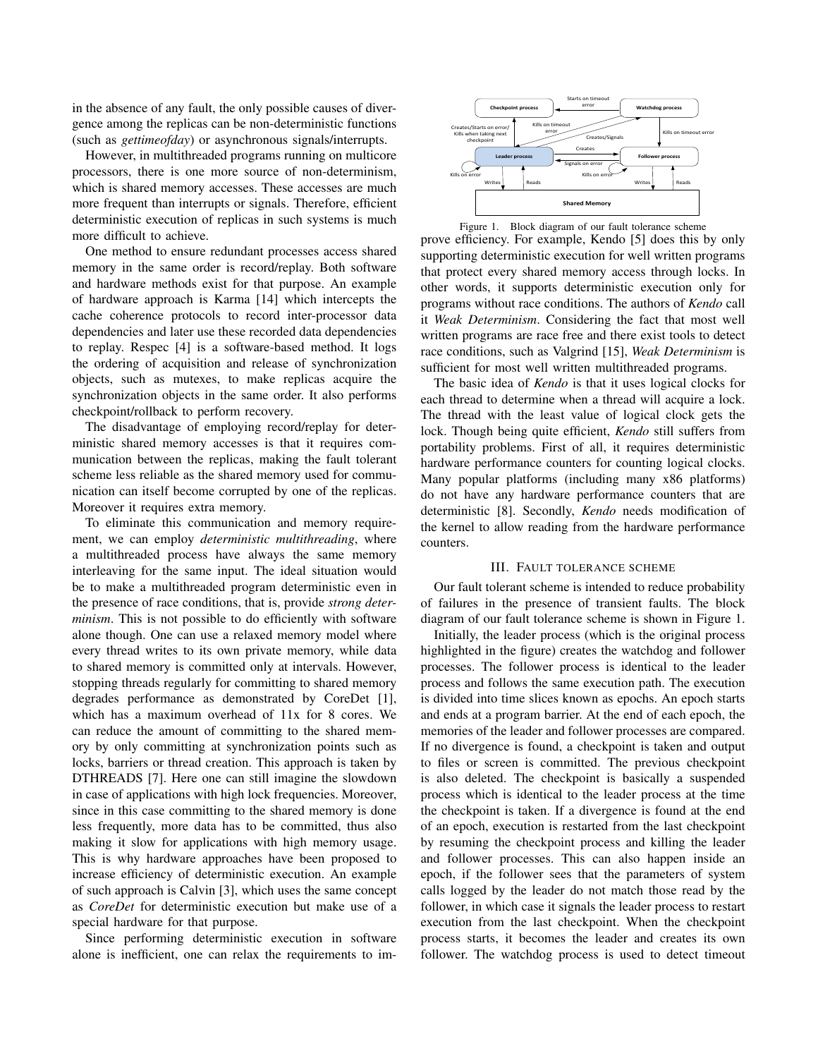in the absence of any fault, the only possible causes of divergence among the replicas can be non-deterministic functions (such as *gettimeofday*) or asynchronous signals/interrupts.

However, in multithreaded programs running on multicore processors, there is one more source of non-determinism, which is shared memory accesses. These accesses are much more frequent than interrupts or signals. Therefore, efficient deterministic execution of replicas in such systems is much more difficult to achieve.

One method to ensure redundant processes access shared memory in the same order is record/replay. Both software and hardware methods exist for that purpose. An example of hardware approach is Karma [14] which intercepts the cache coherence protocols to record inter-processor data dependencies and later use these recorded data dependencies to replay. Respec [4] is a software-based method. It logs the ordering of acquisition and release of synchronization objects, such as mutexes, to make replicas acquire the synchronization objects in the same order. It also performs checkpoint/rollback to perform recovery.

The disadvantage of employing record/replay for deterministic shared memory accesses is that it requires communication between the replicas, making the fault tolerant scheme less reliable as the shared memory used for communication can itself become corrupted by one of the replicas. Moreover it requires extra memory.

To eliminate this communication and memory requirement, we can employ *deterministic multithreading*, where a multithreaded process have always the same memory interleaving for the same input. The ideal situation would be to make a multithreaded program deterministic even in the presence of race conditions, that is, provide *strong determinism*. This is not possible to do efficiently with software alone though. One can use a relaxed memory model where every thread writes to its own private memory, while data to shared memory is committed only at intervals. However, stopping threads regularly for committing to shared memory degrades performance as demonstrated by CoreDet [1], which has a maximum overhead of 11x for 8 cores. We can reduce the amount of committing to the shared memory by only committing at synchronization points such as locks, barriers or thread creation. This approach is taken by DTHREADS [7]. Here one can still imagine the slowdown in case of applications with high lock frequencies. Moreover, since in this case committing to the shared memory is done less frequently, more data has to be committed, thus also making it slow for applications with high memory usage. This is why hardware approaches have been proposed to increase efficiency of deterministic execution. An example of such approach is Calvin [3], which uses the same concept as *CoreDet* for deterministic execution but make use of a special hardware for that purpose.

Since performing deterministic execution in software alone is inefficient, one can relax the requirements to im-



Figure 1. Block diagram of our fault tolerance scheme prove efficiency. For example, Kendo [5] does this by only supporting deterministic execution for well written programs that protect every shared memory access through locks. In other words, it supports deterministic execution only for programs without race conditions. The authors of *Kendo* call it *Weak Determinism*. Considering the fact that most well written programs are race free and there exist tools to detect race conditions, such as Valgrind [15], *Weak Determinism* is sufficient for most well written multithreaded programs.

The basic idea of *Kendo* is that it uses logical clocks for each thread to determine when a thread will acquire a lock. The thread with the least value of logical clock gets the lock. Though being quite efficient, *Kendo* still suffers from portability problems. First of all, it requires deterministic hardware performance counters for counting logical clocks. Many popular platforms (including many x86 platforms) do not have any hardware performance counters that are deterministic [8]. Secondly, *Kendo* needs modification of the kernel to allow reading from the hardware performance counters.

#### III. FAULT TOLERANCE SCHEME

Our fault tolerant scheme is intended to reduce probability of failures in the presence of transient faults. The block diagram of our fault tolerance scheme is shown in Figure 1.

Initially, the leader process (which is the original process highlighted in the figure) creates the watchdog and follower processes. The follower process is identical to the leader process and follows the same execution path. The execution is divided into time slices known as epochs. An epoch starts and ends at a program barrier. At the end of each epoch, the memories of the leader and follower processes are compared. If no divergence is found, a checkpoint is taken and output to files or screen is committed. The previous checkpoint is also deleted. The checkpoint is basically a suspended process which is identical to the leader process at the time the checkpoint is taken. If a divergence is found at the end of an epoch, execution is restarted from the last checkpoint by resuming the checkpoint process and killing the leader and follower processes. This can also happen inside an epoch, if the follower sees that the parameters of system calls logged by the leader do not match those read by the follower, in which case it signals the leader process to restart execution from the last checkpoint. When the checkpoint process starts, it becomes the leader and creates its own follower. The watchdog process is used to detect timeout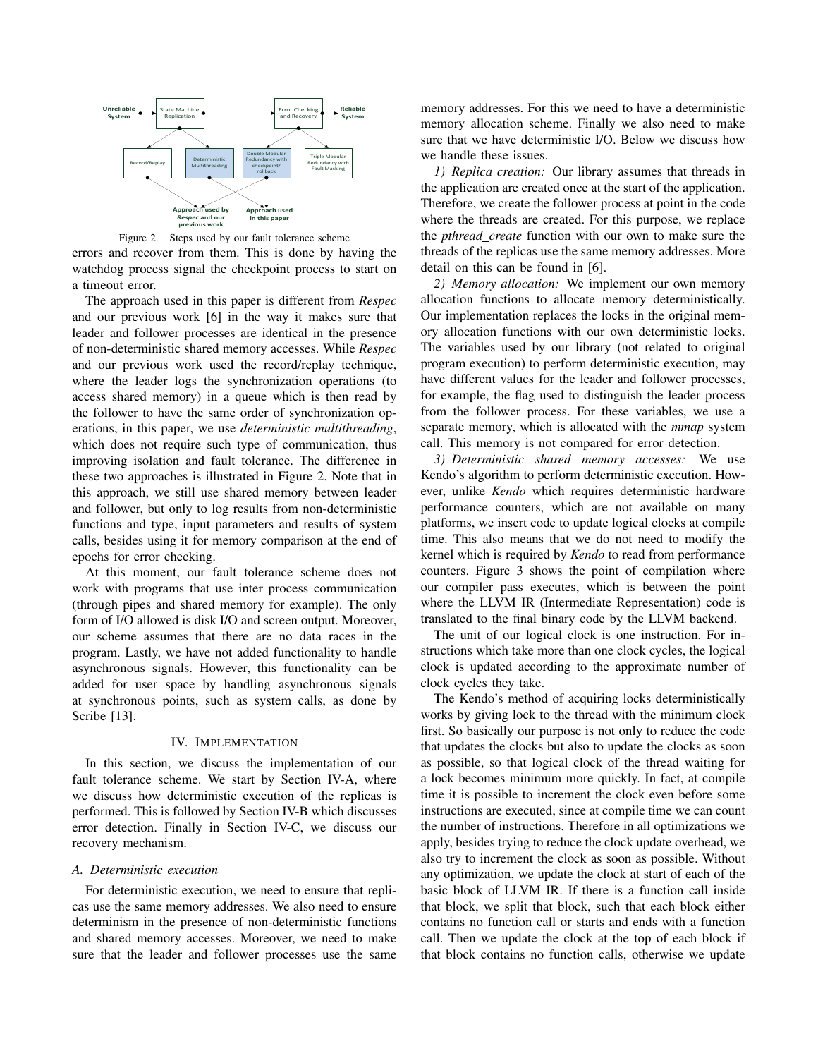

Figure 2. Steps used by our fault tolerance scheme

errors and recover from them. This is done by having the watchdog process signal the checkpoint process to start on a timeout error.

The approach used in this paper is different from *Respec* and our previous work [6] in the way it makes sure that leader and follower processes are identical in the presence of non-deterministic shared memory accesses. While *Respec* and our previous work used the record/replay technique, where the leader logs the synchronization operations (to access shared memory) in a queue which is then read by the follower to have the same order of synchronization operations, in this paper, we use *deterministic multithreading*, which does not require such type of communication, thus improving isolation and fault tolerance. The difference in these two approaches is illustrated in Figure 2. Note that in this approach, we still use shared memory between leader and follower, but only to log results from non-deterministic functions and type, input parameters and results of system calls, besides using it for memory comparison at the end of epochs for error checking.

At this moment, our fault tolerance scheme does not work with programs that use inter process communication (through pipes and shared memory for example). The only form of I/O allowed is disk I/O and screen output. Moreover, our scheme assumes that there are no data races in the program. Lastly, we have not added functionality to handle asynchronous signals. However, this functionality can be added for user space by handling asynchronous signals at synchronous points, such as system calls, as done by Scribe [13].

## IV. IMPLEMENTATION

In this section, we discuss the implementation of our fault tolerance scheme. We start by Section IV-A, where we discuss how deterministic execution of the replicas is performed. This is followed by Section IV-B which discusses error detection. Finally in Section IV-C, we discuss our recovery mechanism.

### *A. Deterministic execution*

For deterministic execution, we need to ensure that replicas use the same memory addresses. We also need to ensure determinism in the presence of non-deterministic functions and shared memory accesses. Moreover, we need to make sure that the leader and follower processes use the same memory addresses. For this we need to have a deterministic memory allocation scheme. Finally we also need to make sure that we have deterministic I/O. Below we discuss how we handle these issues.

*1) Replica creation:* Our library assumes that threads in the application are created once at the start of the application. Therefore, we create the follower process at point in the code where the threads are created. For this purpose, we replace the *pthread create* function with our own to make sure the threads of the replicas use the same memory addresses. More detail on this can be found in [6].

*2) Memory allocation:* We implement our own memory allocation functions to allocate memory deterministically. Our implementation replaces the locks in the original memory allocation functions with our own deterministic locks. The variables used by our library (not related to original program execution) to perform deterministic execution, may have different values for the leader and follower processes, for example, the flag used to distinguish the leader process from the follower process. For these variables, we use a separate memory, which is allocated with the *mmap* system call. This memory is not compared for error detection.

*3) Deterministic shared memory accesses:* We use Kendo's algorithm to perform deterministic execution. However, unlike *Kendo* which requires deterministic hardware performance counters, which are not available on many platforms, we insert code to update logical clocks at compile time. This also means that we do not need to modify the kernel which is required by *Kendo* to read from performance counters. Figure 3 shows the point of compilation where our compiler pass executes, which is between the point where the LLVM IR (Intermediate Representation) code is translated to the final binary code by the LLVM backend.

The unit of our logical clock is one instruction. For instructions which take more than one clock cycles, the logical clock is updated according to the approximate number of clock cycles they take.

The Kendo's method of acquiring locks deterministically works by giving lock to the thread with the minimum clock first. So basically our purpose is not only to reduce the code that updates the clocks but also to update the clocks as soon as possible, so that logical clock of the thread waiting for a lock becomes minimum more quickly. In fact, at compile time it is possible to increment the clock even before some instructions are executed, since at compile time we can count the number of instructions. Therefore in all optimizations we apply, besides trying to reduce the clock update overhead, we also try to increment the clock as soon as possible. Without any optimization, we update the clock at start of each of the basic block of LLVM IR. If there is a function call inside that block, we split that block, such that each block either contains no function call or starts and ends with a function call. Then we update the clock at the top of each block if that block contains no function calls, otherwise we update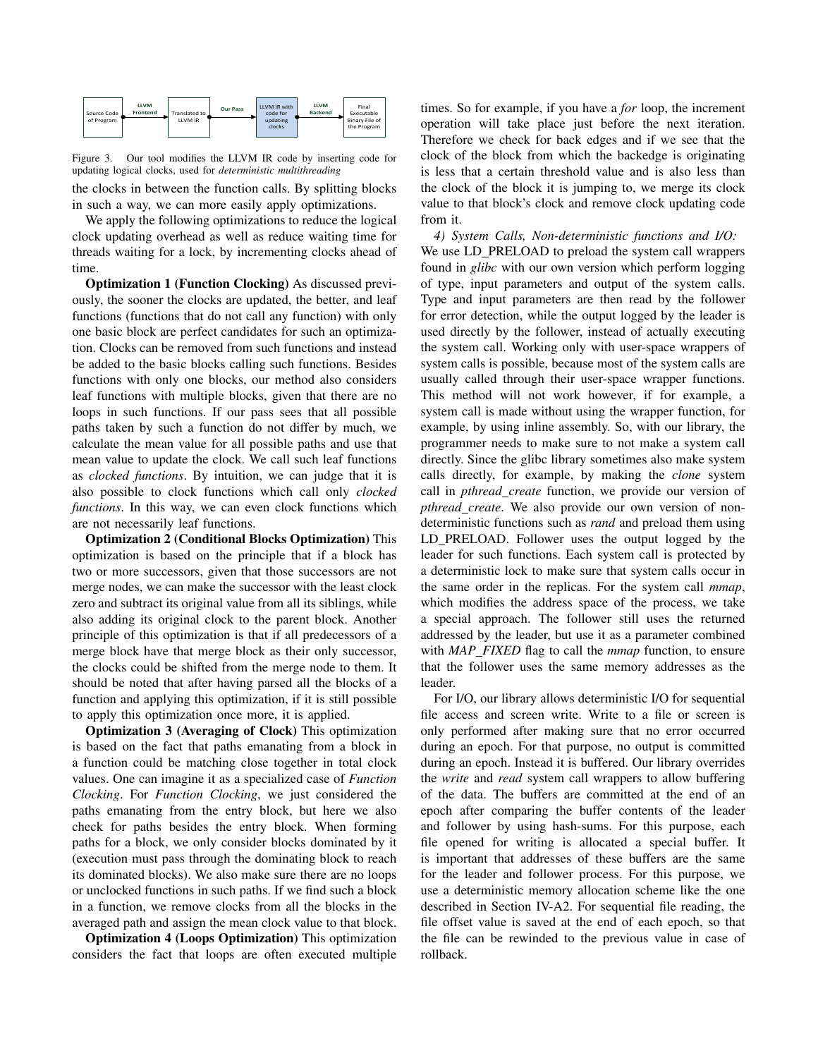

Figure 3. Our tool modifies the LLVM IR code by inserting code for updating logical clocks, used for *deterministic multithreading*

the clocks in between the function calls. By splitting blocks in such a way, we can more easily apply optimizations.

We apply the following optimizations to reduce the logical clock updating overhead as well as reduce waiting time for threads waiting for a lock, by incrementing clocks ahead of time.

Optimization 1 (Function Clocking) As discussed previously, the sooner the clocks are updated, the better, and leaf functions (functions that do not call any function) with only one basic block are perfect candidates for such an optimization. Clocks can be removed from such functions and instead be added to the basic blocks calling such functions. Besides functions with only one blocks, our method also considers leaf functions with multiple blocks, given that there are no loops in such functions. If our pass sees that all possible paths taken by such a function do not differ by much, we calculate the mean value for all possible paths and use that mean value to update the clock. We call such leaf functions as *clocked functions*. By intuition, we can judge that it is also possible to clock functions which call only *clocked functions*. In this way, we can even clock functions which are not necessarily leaf functions.

Optimization 2 (Conditional Blocks Optimization) This optimization is based on the principle that if a block has two or more successors, given that those successors are not merge nodes, we can make the successor with the least clock zero and subtract its original value from all its siblings, while also adding its original clock to the parent block. Another principle of this optimization is that if all predecessors of a merge block have that merge block as their only successor, the clocks could be shifted from the merge node to them. It should be noted that after having parsed all the blocks of a function and applying this optimization, if it is still possible to apply this optimization once more, it is applied.

Optimization 3 (Averaging of Clock) This optimization is based on the fact that paths emanating from a block in a function could be matching close together in total clock values. One can imagine it as a specialized case of *Function Clocking*. For *Function Clocking*, we just considered the paths emanating from the entry block, but here we also check for paths besides the entry block. When forming paths for a block, we only consider blocks dominated by it (execution must pass through the dominating block to reach its dominated blocks). We also make sure there are no loops or unclocked functions in such paths. If we find such a block in a function, we remove clocks from all the blocks in the averaged path and assign the mean clock value to that block.

Optimization 4 (Loops Optimization) This optimization considers the fact that loops are often executed multiple times. So for example, if you have a *for* loop, the increment operation will take place just before the next iteration. Therefore we check for back edges and if we see that the clock of the block from which the backedge is originating is less that a certain threshold value and is also less than the clock of the block it is jumping to, we merge its clock value to that block's clock and remove clock updating code from it.

*4) System Calls, Non-deterministic functions and I/O:* We use LD PRELOAD to preload the system call wrappers found in *glibc* with our own version which perform logging of type, input parameters and output of the system calls. Type and input parameters are then read by the follower for error detection, while the output logged by the leader is used directly by the follower, instead of actually executing the system call. Working only with user-space wrappers of system calls is possible, because most of the system calls are usually called through their user-space wrapper functions. This method will not work however, if for example, a system call is made without using the wrapper function, for example, by using inline assembly. So, with our library, the programmer needs to make sure to not make a system call directly. Since the glibc library sometimes also make system calls directly, for example, by making the *clone* system call in *pthread create* function, we provide our version of *pthread create*. We also provide our own version of nondeterministic functions such as *rand* and preload them using LD PRELOAD. Follower uses the output logged by the leader for such functions. Each system call is protected by a deterministic lock to make sure that system calls occur in the same order in the replicas. For the system call *mmap*, which modifies the address space of the process, we take a special approach. The follower still uses the returned addressed by the leader, but use it as a parameter combined with *MAP FIXED* flag to call the *mmap* function, to ensure that the follower uses the same memory addresses as the leader.

For I/O, our library allows deterministic I/O for sequential file access and screen write. Write to a file or screen is only performed after making sure that no error occurred during an epoch. For that purpose, no output is committed during an epoch. Instead it is buffered. Our library overrides the *write* and *read* system call wrappers to allow buffering of the data. The buffers are committed at the end of an epoch after comparing the buffer contents of the leader and follower by using hash-sums. For this purpose, each file opened for writing is allocated a special buffer. It is important that addresses of these buffers are the same for the leader and follower process. For this purpose, we use a deterministic memory allocation scheme like the one described in Section IV-A2. For sequential file reading, the file offset value is saved at the end of each epoch, so that the file can be rewinded to the previous value in case of rollback.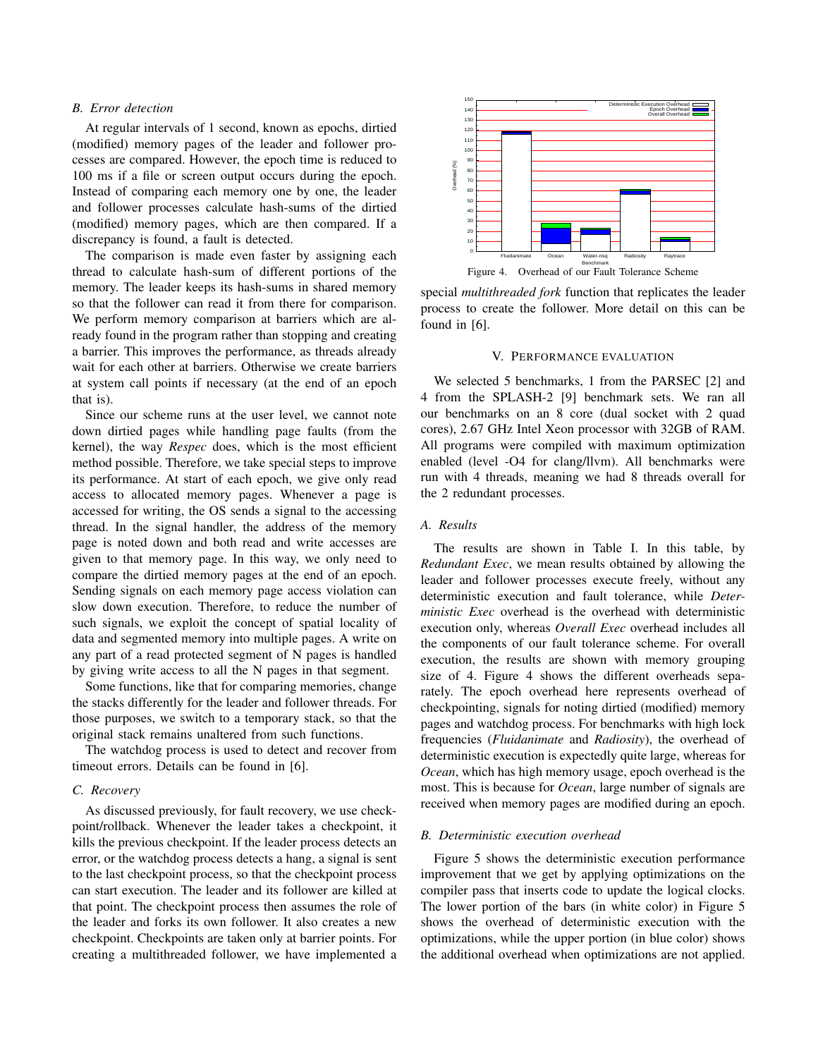# *B. Error detection*

At regular intervals of 1 second, known as epochs, dirtied (modified) memory pages of the leader and follower processes are compared. However, the epoch time is reduced to 100 ms if a file or screen output occurs during the epoch. Instead of comparing each memory one by one, the leader and follower processes calculate hash-sums of the dirtied (modified) memory pages, which are then compared. If a discrepancy is found, a fault is detected.

The comparison is made even faster by assigning each thread to calculate hash-sum of different portions of the memory. The leader keeps its hash-sums in shared memory so that the follower can read it from there for comparison. We perform memory comparison at barriers which are already found in the program rather than stopping and creating a barrier. This improves the performance, as threads already wait for each other at barriers. Otherwise we create barriers at system call points if necessary (at the end of an epoch that is).

Since our scheme runs at the user level, we cannot note down dirtied pages while handling page faults (from the kernel), the way *Respec* does, which is the most efficient method possible. Therefore, we take special steps to improve its performance. At start of each epoch, we give only read access to allocated memory pages. Whenever a page is accessed for writing, the OS sends a signal to the accessing thread. In the signal handler, the address of the memory page is noted down and both read and write accesses are given to that memory page. In this way, we only need to compare the dirtied memory pages at the end of an epoch. Sending signals on each memory page access violation can slow down execution. Therefore, to reduce the number of such signals, we exploit the concept of spatial locality of data and segmented memory into multiple pages. A write on any part of a read protected segment of N pages is handled by giving write access to all the N pages in that segment.

Some functions, like that for comparing memories, change the stacks differently for the leader and follower threads. For those purposes, we switch to a temporary stack, so that the original stack remains unaltered from such functions.

The watchdog process is used to detect and recover from timeout errors. Details can be found in [6].

## *C. Recovery*

As discussed previously, for fault recovery, we use checkpoint/rollback. Whenever the leader takes a checkpoint, it kills the previous checkpoint. If the leader process detects an error, or the watchdog process detects a hang, a signal is sent to the last checkpoint process, so that the checkpoint process can start execution. The leader and its follower are killed at that point. The checkpoint process then assumes the role of the leader and forks its own follower. It also creates a new checkpoint. Checkpoints are taken only at barrier points. For creating a multithreaded follower, we have implemented a



Benchmark Figure 4. Overhead of our Fault Tolerance Scheme

special *multithreaded fork* function that replicates the leader process to create the follower. More detail on this can be found in [6].

### V. PERFORMANCE EVALUATION

We selected 5 benchmarks, 1 from the PARSEC [2] and 4 from the SPLASH-2 [9] benchmark sets. We ran all our benchmarks on an 8 core (dual socket with 2 quad cores), 2.67 GHz Intel Xeon processor with 32GB of RAM. All programs were compiled with maximum optimization enabled (level -O4 for clang/llvm). All benchmarks were run with 4 threads, meaning we had 8 threads overall for the 2 redundant processes.

### *A. Results*

The results are shown in Table I. In this table, by *Redundant Exec*, we mean results obtained by allowing the leader and follower processes execute freely, without any deterministic execution and fault tolerance, while *Deterministic Exec* overhead is the overhead with deterministic execution only, whereas *Overall Exec* overhead includes all the components of our fault tolerance scheme. For overall execution, the results are shown with memory grouping size of 4. Figure 4 shows the different overheads separately. The epoch overhead here represents overhead of checkpointing, signals for noting dirtied (modified) memory pages and watchdog process. For benchmarks with high lock frequencies (*Fluidanimate* and *Radiosity*), the overhead of deterministic execution is expectedly quite large, whereas for *Ocean*, which has high memory usage, epoch overhead is the most. This is because for *Ocean*, large number of signals are received when memory pages are modified during an epoch.

### *B. Deterministic execution overhead*

Figure 5 shows the deterministic execution performance improvement that we get by applying optimizations on the compiler pass that inserts code to update the logical clocks. The lower portion of the bars (in white color) in Figure 5 shows the overhead of deterministic execution with the optimizations, while the upper portion (in blue color) shows the additional overhead when optimizations are not applied.